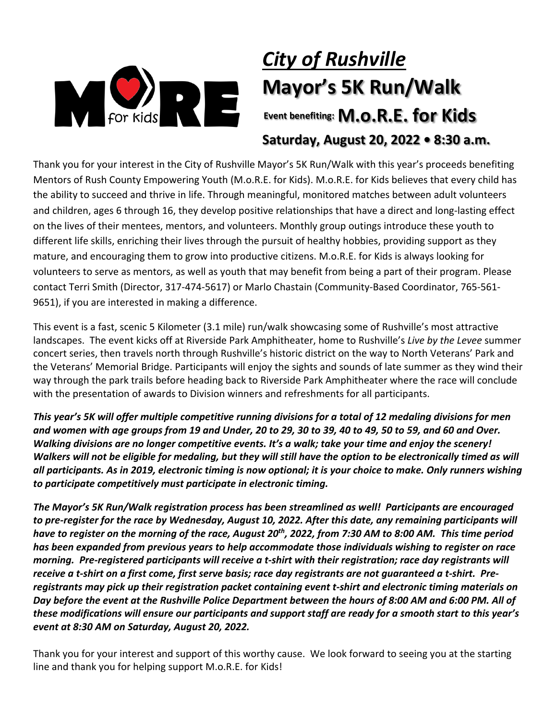

# *City of Rushville* **Mayor's 5K Run/Walk Event benefiting: M.O.R.E. for Kids**

**Saturday, August 20, 2022 • 8:30 a.m.**

Thank you for your interest in the City of Rushville Mayor's 5K Run/Walk with this year's proceeds benefiting Mentors of Rush County Empowering Youth (M.o.R.E. for Kids). M.o.R.E. for Kids believes that every child has the ability to succeed and thrive in life. Through meaningful, monitored matches between adult volunteers and children, ages 6 through 16, they develop positive relationships that have a direct and long-lasting effect on the lives of their mentees, mentors, and volunteers. Monthly group outings introduce these youth to different life skills, enriching their lives through the pursuit of healthy hobbies, providing support as they mature, and encouraging them to grow into productive citizens. M.o.R.E. for Kids is always looking for volunteers to serve as mentors, as well as youth that may benefit from being a part of their program. Please contact Terri Smith (Director, 317-474-5617) or Marlo Chastain (Community-Based Coordinator, 765-561- 9651), if you are interested in making a difference.

This event is a fast, scenic 5 Kilometer (3.1 mile) run/walk showcasing some of Rushville's most attractive landscapes. The event kicks off at Riverside Park Amphitheater, home to Rushville's *Live by the Levee* summer concert series, then travels north through Rushville's historic district on the way to North Veterans' Park and the Veterans' Memorial Bridge. Participants will enjoy the sights and sounds of late summer as they wind their way through the park trails before heading back to Riverside Park Amphitheater where the race will conclude with the presentation of awards to Division winners and refreshments for all participants.

*This year's 5K will offer multiple competitive running divisions for a total of 12 medaling divisions for men and women with age groups from 19 and Under, 20 to 29, 30 to 39, 40 to 49, 50 to 59, and 60 and Over. Walking divisions are no longer competitive events. It's a walk; take your time and enjoy the scenery! Walkers will not be eligible for medaling, but they will still have the option to be electronically timed as will all participants. As in 2019, electronic timing is now optional; it is your choice to make. Only runners wishing to participate competitively must participate in electronic timing.*

*The Mayor's 5K Run/Walk registration process has been streamlined as well! Participants are encouraged to pre-register for the race by Wednesday, August 10, 2022. After this date, any remaining participants will have to register on the morning of the race, August 20th, 2022, from 7:30 AM to 8:00 AM. This time period has been expanded from previous years to help accommodate those individuals wishing to register on race morning. Pre-registered participants will receive a t-shirt with their registration; race day registrants will receive a t-shirt on a first come, first serve basis; race day registrants are not guaranteed a t-shirt. Preregistrants may pick up their registration packet containing event t-shirt and electronic timing materials on Day before the event at the Rushville Police Department between the hours of 8:00 AM and 6:00 PM. All of these modifications will ensure our participants and support staff are ready for a smooth start to this year's event at 8:30 AM on Saturday, August 20, 2022.*

Thank you for your interest and support of this worthy cause. We look forward to seeing you at the starting line and thank you for helping support M.o.R.E. for Kids!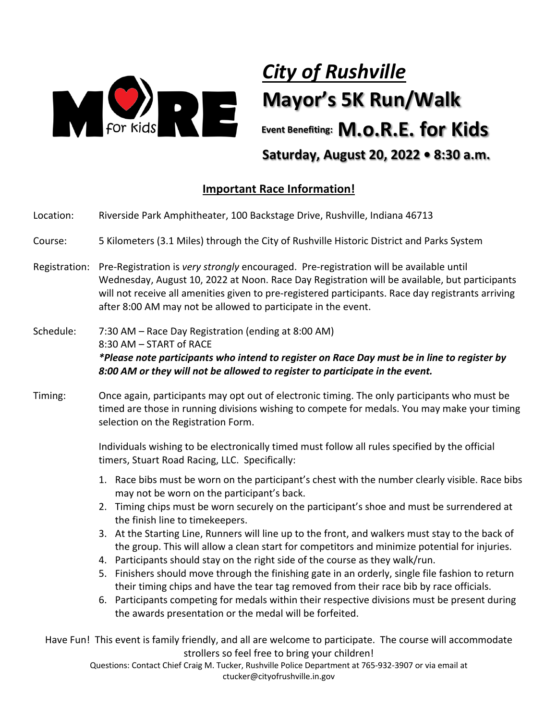

## *City of Rushville* **Mayor's 5K Run/Walk**

**Event Benefiting: M.O.R.E. for Kids Saturday, August 20, 2022 • 8:30 a.m.**

### **Important Race Information!**

- Location: Riverside Park Amphitheater, 100 Backstage Drive, Rushville, Indiana 46713
- Course: 5 Kilometers (3.1 Miles) through the City of Rushville Historic District and Parks System
- Registration: Pre-Registration is *very strongly* encouraged. Pre-registration will be available until Wednesday, August 10, 2022 at Noon. Race Day Registration will be available, but participants will not receive all amenities given to pre-registered participants. Race day registrants arriving after 8:00 AM may not be allowed to participate in the event.
- Schedule: 7:30 AM Race Day Registration (ending at 8:00 AM) 8:30 AM – START of RACE *\*Please note participants who intend to register on Race Day must be in line to register by 8:00 AM or they will not be allowed to register to participate in the event.*
- Timing: Once again, participants may opt out of electronic timing. The only participants who must be timed are those in running divisions wishing to compete for medals. You may make your timing selection on the Registration Form.

Individuals wishing to be electronically timed must follow all rules specified by the official timers, Stuart Road Racing, LLC. Specifically:

- 1. Race bibs must be worn on the participant's chest with the number clearly visible. Race bibs may not be worn on the participant's back.
- 2. Timing chips must be worn securely on the participant's shoe and must be surrendered at the finish line to timekeepers.
- 3. At the Starting Line, Runners will line up to the front, and walkers must stay to the back of the group. This will allow a clean start for competitors and minimize potential for injuries.
- 4. Participants should stay on the right side of the course as they walk/run.
- 5. Finishers should move through the finishing gate in an orderly, single file fashion to return their timing chips and have the tear tag removed from their race bib by race officials.
- 6. Participants competing for medals within their respective divisions must be present during the awards presentation or the medal will be forfeited.

Have Fun! This event is family friendly, and all are welcome to participate. The course will accommodate strollers so feel free to bring your children!

Questions: Contact Chief Craig M. Tucker, Rushville Police Department at 765-932-3907 or via email at ctucker@cityofrushville.in.gov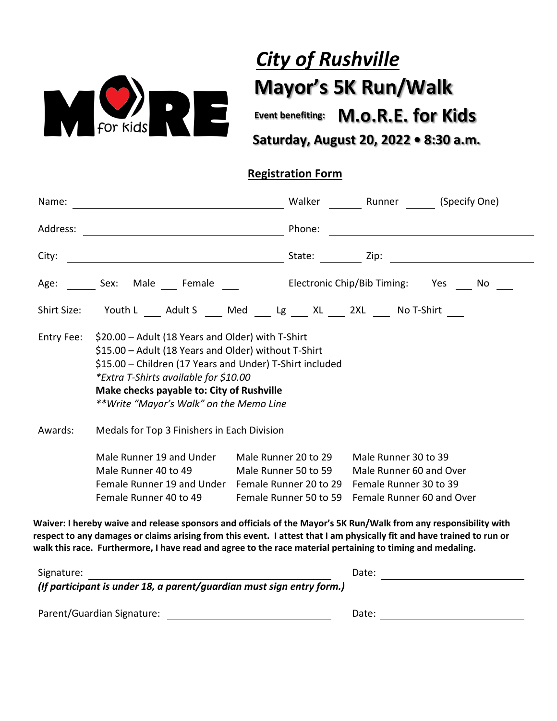

## *City of Rushville*  **Mayor's 5K Run/Walk**

**Event benefiting: M.O.R.E. for Kids** 

## **Registration Form**

| Name:                      |                                                                                                                                                                                                                                                                                                        | Walker                                                                                           | Runner (Specify One)                                                                                                                                                                                                                        |
|----------------------------|--------------------------------------------------------------------------------------------------------------------------------------------------------------------------------------------------------------------------------------------------------------------------------------------------------|--------------------------------------------------------------------------------------------------|---------------------------------------------------------------------------------------------------------------------------------------------------------------------------------------------------------------------------------------------|
| Address:                   |                                                                                                                                                                                                                                                                                                        | Phone:                                                                                           |                                                                                                                                                                                                                                             |
| City:                      |                                                                                                                                                                                                                                                                                                        |                                                                                                  | <u>State: Experimental State: Experimental State: Experimental State: Experimental State: Experimental State: Experimental State: Experimental State: Experimental State: Experimental State: Experimental State: Experimental S</u>        |
| Age:                       | Sex:<br>Male Female                                                                                                                                                                                                                                                                                    |                                                                                                  | Electronic Chip/Bib Timing: Yes No                                                                                                                                                                                                          |
| Shirt Size:                | Youth L ___ Adult S ___ Med ___ Lg ___ XL ___ 2XL ___ No T-Shirt ___                                                                                                                                                                                                                                   |                                                                                                  |                                                                                                                                                                                                                                             |
| Entry Fee:                 | \$20.00 - Adult (18 Years and Older) with T-Shirt<br>\$15.00 - Adult (18 Years and Older) without T-Shirt<br>\$15.00 - Children (17 Years and Under) T-Shirt included<br>*Extra T-Shirts available for \$10.00<br>Make checks payable to: City of Rushville<br>**Write "Mayor's Walk" on the Memo Line |                                                                                                  |                                                                                                                                                                                                                                             |
| Awards:                    | Medals for Top 3 Finishers in Each Division                                                                                                                                                                                                                                                            |                                                                                                  |                                                                                                                                                                                                                                             |
|                            | Male Runner 19 and Under<br>Male Runner 40 to 49<br>Female Runner 19 and Under<br>Female Runner 40 to 49                                                                                                                                                                                               | Male Runner 20 to 29<br>Male Runner 50 to 59<br>Female Runner 20 to 29<br>Female Runner 50 to 59 | Male Runner 30 to 39<br>Male Runner 60 and Over<br>Female Runner 30 to 39<br>Female Runner 60 and Over                                                                                                                                      |
|                            | walk this race. Furthermore, I have read and agree to the race material pertaining to timing and medaling.                                                                                                                                                                                             |                                                                                                  | Waiver: I hereby waive and release sponsors and officials of the Mayor's 5K Run/Walk from any responsibility with<br>respect to any damages or claims arising from this event. I attest that I am physically fit and have trained to run or |
| Signature:                 |                                                                                                                                                                                                                                                                                                        |                                                                                                  | Date: <u>_________________________________</u>                                                                                                                                                                                              |
|                            | (If participant is under 18, a parent/guardian must sign entry form.)                                                                                                                                                                                                                                  |                                                                                                  |                                                                                                                                                                                                                                             |
| Parent/Guardian Signature: |                                                                                                                                                                                                                                                                                                        |                                                                                                  | Date:                                                                                                                                                                                                                                       |